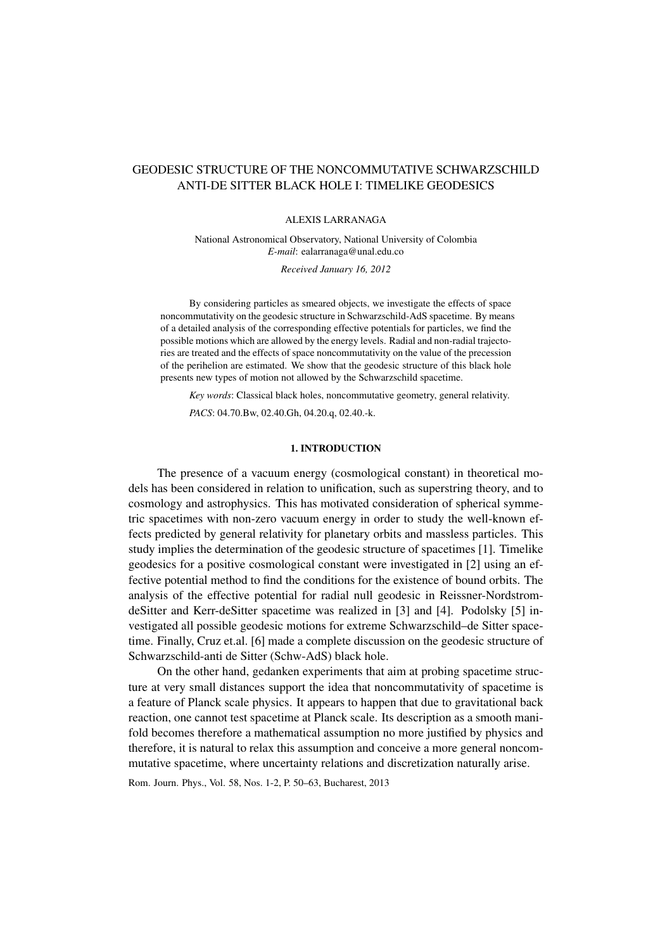# GEODESIC STRUCTURE OF THE NONCOMMUTATIVE SCHWARZSCHILD ANTI-DE SITTER BLACK HOLE I: TIMELIKE GEODESICS

### ALEXIS LARRANAGA

National Astronomical Observatory, National University of Colombia *E-mail*: ealarranaga@unal.edu.co

*Received January 16, 2012*

By considering particles as smeared objects, we investigate the effects of space noncommutativity on the geodesic structure in Schwarzschild-AdS spacetime. By means of a detailed analysis of the corresponding effective potentials for particles, we find the possible motions which are allowed by the energy levels. Radial and non-radial trajectories are treated and the effects of space noncommutativity on the value of the precession of the perihelion are estimated. We show that the geodesic structure of this black hole presents new types of motion not allowed by the Schwarzschild spacetime.

*Key words*: Classical black holes, noncommutative geometry, general relativity.

*PACS*: 04.70.Bw, 02.40.Gh, 04.20.q, 02.40.-k.

### 1. INTRODUCTION

The presence of a vacuum energy (cosmological constant) in theoretical models has been considered in relation to unification, such as superstring theory, and to cosmology and astrophysics. This has motivated consideration of spherical symmetric spacetimes with non-zero vacuum energy in order to study the well-known effects predicted by general relativity for planetary orbits and massless particles. This study implies the determination of the geodesic structure of spacetimes [1]. Timelike geodesics for a positive cosmological constant were investigated in [2] using an effective potential method to find the conditions for the existence of bound orbits. The analysis of the effective potential for radial null geodesic in Reissner-NordstromdeSitter and Kerr-deSitter spacetime was realized in [3] and [4]. Podolsky [5] investigated all possible geodesic motions for extreme Schwarzschild–de Sitter spacetime. Finally, Cruz et.al. [6] made a complete discussion on the geodesic structure of Schwarzschild-anti de Sitter (Schw-AdS) black hole.

On the other hand, gedanken experiments that aim at probing spacetime structure at very small distances support the idea that noncommutativity of spacetime is a feature of Planck scale physics. It appears to happen that due to gravitational back reaction, one cannot test spacetime at Planck scale. Its description as a smooth manifold becomes therefore a mathematical assumption no more justified by physics and therefore, it is natural to relax this assumption and conceive a more general noncommutative spacetime, where uncertainty relations and discretization naturally arise.

Rom. Journ. Phys., Vol. 58, Nos. 1-2, P. 50–63, Bucharest, 2013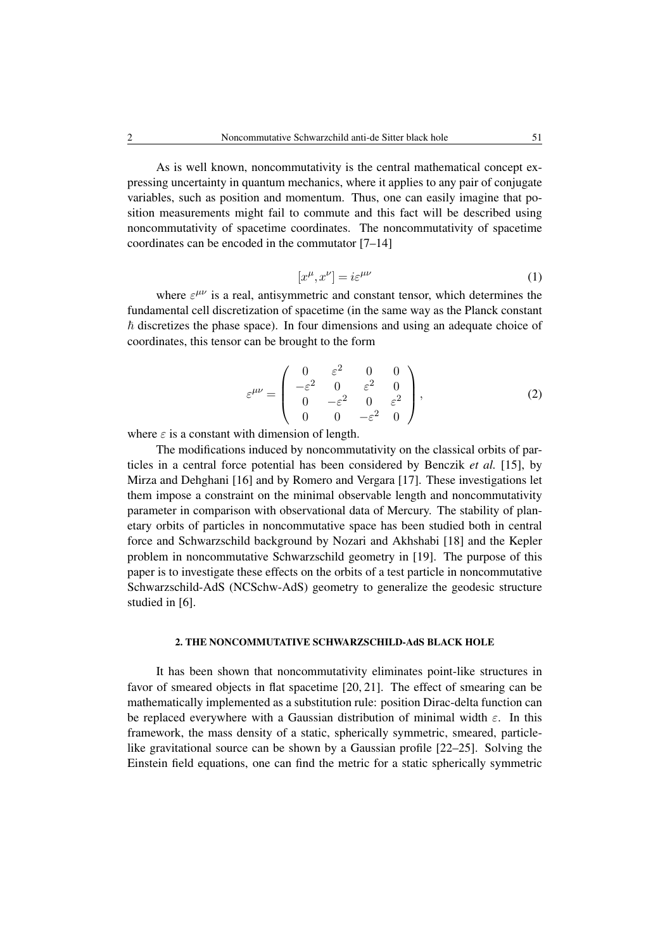As is well known, noncommutativity is the central mathematical concept expressing uncertainty in quantum mechanics, where it applies to any pair of conjugate variables, such as position and momentum. Thus, one can easily imagine that position measurements might fail to commute and this fact will be described using noncommutativity of spacetime coordinates. The noncommutativity of spacetime coordinates can be encoded in the commutator [7–14]

$$
[x^{\mu}, x^{\nu}] = i\varepsilon^{\mu\nu} \tag{1}
$$

where  $\varepsilon^{\mu\nu}$  is a real, antisymmetric and constant tensor, which determines the fundamental cell discretization of spacetime (in the same way as the Planck constant  $\hbar$  discretizes the phase space). In four dimensions and using an adequate choice of coordinates, this tensor can be brought to the form

$$
\varepsilon^{\mu\nu} = \begin{pmatrix} 0 & \varepsilon^2 & 0 & 0 \\ -\varepsilon^2 & 0 & \varepsilon^2 & 0 \\ 0 & -\varepsilon^2 & 0 & \varepsilon^2 \\ 0 & 0 & -\varepsilon^2 & 0 \end{pmatrix},
$$
(2)

where  $\varepsilon$  is a constant with dimension of length.

The modifications induced by noncommutativity on the classical orbits of particles in a central force potential has been considered by Benczik *et al.* [15], by Mirza and Dehghani [16] and by Romero and Vergara [17]. These investigations let them impose a constraint on the minimal observable length and noncommutativity parameter in comparison with observational data of Mercury. The stability of planetary orbits of particles in noncommutative space has been studied both in central force and Schwarzschild background by Nozari and Akhshabi [18] and the Kepler problem in noncommutative Schwarzschild geometry in [19]. The purpose of this paper is to investigate these effects on the orbits of a test particle in noncommutative Schwarzschild-AdS (NCSchw-AdS) geometry to generalize the geodesic structure studied in [6].

## 2. THE NONCOMMUTATIVE SCHWARZSCHILD-AdS BLACK HOLE

It has been shown that noncommutativity eliminates point-like structures in favor of smeared objects in flat spacetime [20, 21]. The effect of smearing can be mathematically implemented as a substitution rule: position Dirac-delta function can be replaced everywhere with a Gaussian distribution of minimal width  $\varepsilon$ . In this framework, the mass density of a static, spherically symmetric, smeared, particlelike gravitational source can be shown by a Gaussian profile [22–25]. Solving the Einstein field equations, one can find the metric for a static spherically symmetric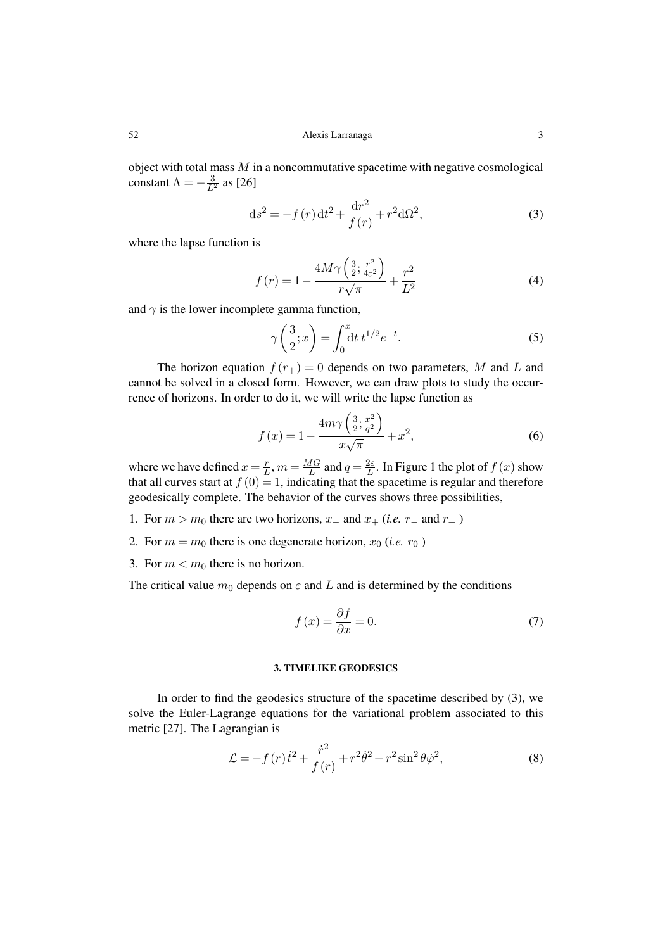object with total mass  $M$  in a noncommutative spacetime with negative cosmological constant  $\Lambda = -\frac{3}{L^2}$  as [26]

$$
ds^{2} = -f(r) dt^{2} + \frac{dr^{2}}{f(r)} + r^{2} d\Omega^{2},
$$
\t(3)

where the lapse function is

$$
f(r) = 1 - \frac{4M\gamma \left(\frac{3}{2}; \frac{r^2}{4\varepsilon^2}\right)}{r\sqrt{\pi}} + \frac{r^2}{L^2}
$$
 (4)

and  $\gamma$  is the lower incomplete gamma function,

$$
\gamma\left(\frac{3}{2};x\right) = \int_0^x dt \, t^{1/2} e^{-t}.\tag{5}
$$

The horizon equation  $f(r_{+}) = 0$  depends on two parameters, M and L and cannot be solved in a closed form. However, we can draw plots to study the occurrence of horizons. In order to do it, we will write the lapse function as

$$
f(x) = 1 - \frac{4m\gamma \left(\frac{3}{2}, \frac{x^2}{q^2}\right)}{x\sqrt{\pi}} + x^2,
$$
\n(6)

where we have defined  $x = \frac{r}{l}$  $\frac{r}{L}$ ,  $m = \frac{MG}{L}$  $\frac{1G}{L}$  and  $q = \frac{2\varepsilon}{L}$  $\frac{2\varepsilon}{L}$ . In Figure 1 the plot of  $f(x)$  show that all curves start at  $f(0) = 1$ , indicating that the spacetime is regular and therefore geodesically complete. The behavior of the curves shows three possibilities,

- 1. For  $m > m_0$  there are two horizons,  $x_-\,$  and  $x_+\,$  (*i.e.*  $r_-\,$  and  $r_+$ )
- 2. For  $m = m_0$  there is one degenerate horizon,  $x_0$  (*i.e.*  $r_0$ )
- 3. For  $m < m_0$  there is no horizon.

The critical value  $m_0$  depends on  $\varepsilon$  and L and is determined by the conditions

$$
f(x) = \frac{\partial f}{\partial x} = 0.
$$
 (7)

### 3. TIMELIKE GEODESICS

In order to find the geodesics structure of the spacetime described by (3), we solve the Euler-Lagrange equations for the variational problem associated to this metric [27]. The Lagrangian is

$$
\mathcal{L} = -f(r)\dot{t}^2 + \frac{\dot{r}^2}{f(r)} + r^2\dot{\theta}^2 + r^2\sin^2\theta\dot{\varphi}^2,\tag{8}
$$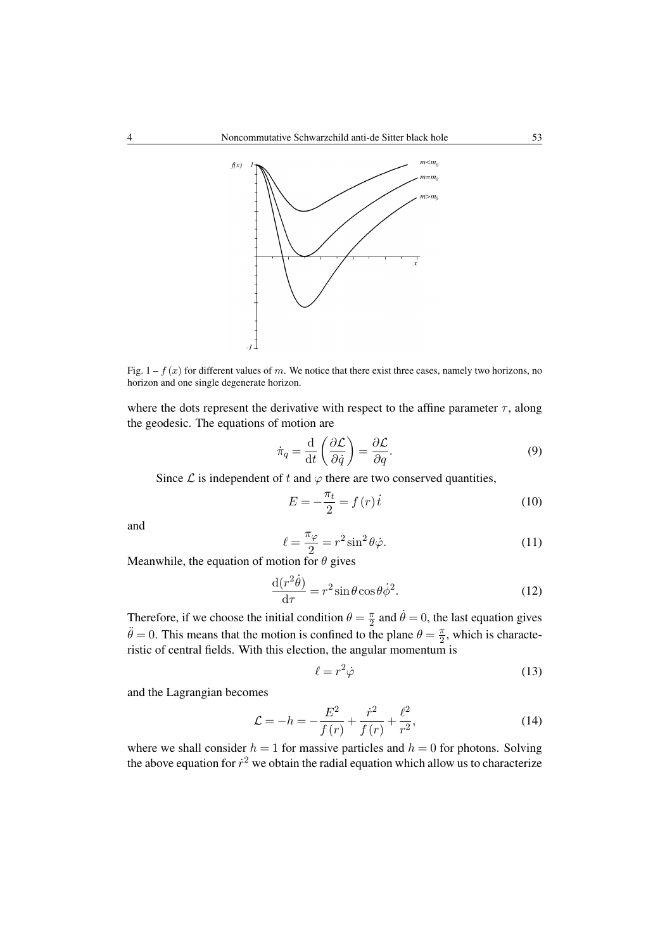

Fig.  $1 - f(x)$  for different values of m. We notice that there exist three cases, namely two horizons, no horizon and one single degenerate horizon.

where the dots represent the derivative with respect to the affine parameter  $\tau$ , along the geodesic. The equations of motion are

$$
\dot{\pi}_q = \frac{\mathrm{d}}{\mathrm{d}t} \left( \frac{\partial \mathcal{L}}{\partial \dot{q}} \right) = \frac{\partial \mathcal{L}}{\partial q}.
$$
 (9)

Since  $\mathcal L$  is independent of t and  $\varphi$  there are two conserved quantities,

$$
E = -\frac{\pi_t}{2} = f(r)\dot{t}
$$
\n(10)

and

$$
\ell = \frac{\pi_{\varphi}}{2} = r^2 \sin^2 \theta \dot{\varphi}.\tag{11}
$$

Meanwhile, the equation of motion for  $\theta$  gives

$$
\frac{\mathrm{d}(r^2\dot{\theta})}{\mathrm{d}\tau} = r^2 \sin\theta \cos\theta \dot{\phi}^2. \tag{12}
$$

Therefore, if we choose the initial condition  $\theta = \frac{\pi}{2}$  $\frac{\pi}{2}$  and  $\dot{\theta} = 0$ , the last equation gives  $\ddot{\theta} = 0$ . This means that the motion is confined to the plane  $\theta = \frac{\pi}{2}$  $\frac{\pi}{2}$ , which is characteristic of central fields. With this election, the angular momentum is

$$
\ell = r^2 \dot{\varphi} \tag{13}
$$

and the Lagrangian becomes

$$
\mathcal{L} = -h = -\frac{E^2}{f(r)} + \frac{\dot{r}^2}{f(r)} + \frac{\ell^2}{r^2},\tag{14}
$$

where we shall consider  $h = 1$  for massive particles and  $h = 0$  for photons. Solving the above equation for  $\dot{r}^2$  we obtain the radial equation which allow us to characterize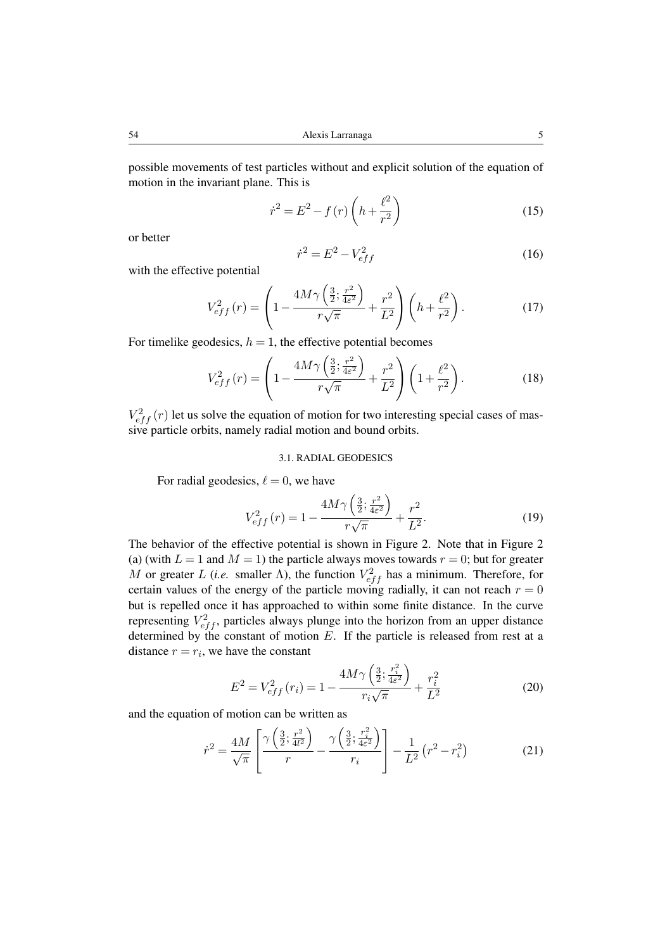possible movements of test particles without and explicit solution of the equation of motion in the invariant plane. This is

$$
\dot{r}^2 = E^2 - f(r) \left( h + \frac{\ell^2}{r^2} \right) \tag{15}
$$

or better

$$
\dot{r}^2 = E^2 - V_{eff}^2 \tag{16}
$$

with the effective potential

$$
V_{eff}^{2}(r) = \left(1 - \frac{4M\gamma\left(\frac{3}{2}; \frac{r^{2}}{4\varepsilon^{2}}\right)}{r\sqrt{\pi}} + \frac{r^{2}}{L^{2}}\right)\left(h + \frac{\ell^{2}}{r^{2}}\right). \tag{17}
$$

For timelike geodesics,  $h = 1$ , the effective potential becomes

$$
V_{eff}^{2}(r) = \left(1 - \frac{4M\gamma\left(\frac{3}{2}; \frac{r^{2}}{4\varepsilon^{2}}\right)}{r\sqrt{\pi}} + \frac{r^{2}}{L^{2}}\right)\left(1 + \frac{\ell^{2}}{r^{2}}\right).
$$
 (18)

 $V_{eff}^2(r)$  let us solve the equation of motion for two interesting special cases of massive particle orbits, namely radial motion and bound orbits.

#### 3.1. RADIAL GEODESICS

For radial geodesics,  $\ell = 0$ , we have

$$
V_{eff}^{2}(r) = 1 - \frac{4M\gamma\left(\frac{3}{2}; \frac{r^{2}}{4\varepsilon^{2}}\right)}{r\sqrt{\pi}} + \frac{r^{2}}{L^{2}}.
$$
 (19)

The behavior of the effective potential is shown in Figure 2. Note that in Figure 2 (a) (with  $L = 1$  and  $M = 1$ ) the particle always moves towards  $r = 0$ ; but for greater M or greater L (*i.e.* smaller  $\Lambda$ ), the function  $V_{eff}^2$  has a minimum. Therefore, for certain values of the energy of the particle moving radially, it can not reach  $r = 0$ but is repelled once it has approached to within some finite distance. In the curve representing  $V_{eff}^2$ , particles always plunge into the horizon from an upper distance determined by the constant of motion  $E$ . If the particle is released from rest at a distance  $r = r_i$ , we have the constant

$$
E^{2} = V_{eff}^{2} (r_{i}) = 1 - \frac{4M\gamma \left(\frac{3}{2}; \frac{r_{i}^{2}}{4\varepsilon^{2}}\right)}{r_{i}\sqrt{\pi}} + \frac{r_{i}^{2}}{L^{2}}
$$
(20)

and the equation of motion can be written as

$$
\dot{r}^2 = \frac{4M}{\sqrt{\pi}} \left[ \frac{\gamma \left( \frac{3}{2}; \frac{r^2}{4l^2} \right)}{r} - \frac{\gamma \left( \frac{3}{2}; \frac{r_i^2}{4\epsilon^2} \right)}{r_i} \right] - \frac{1}{L^2} \left( r^2 - r_i^2 \right) \tag{21}
$$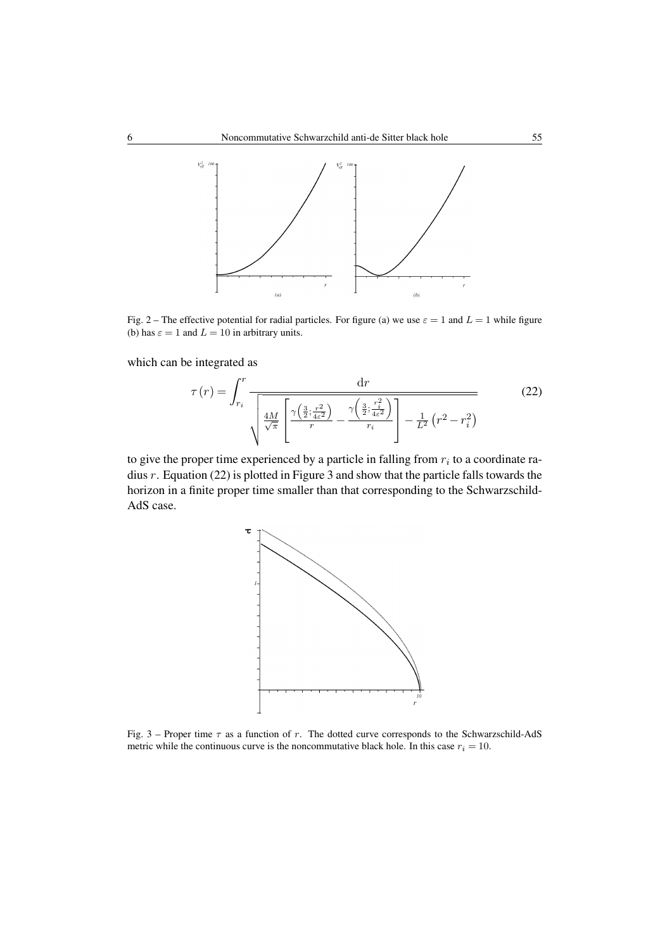

Fig. 2 – The effective potential for radial particles. For figure (a) we use  $\varepsilon = 1$  and  $L = 1$  while figure (b) has  $\varepsilon = 1$  and  $L = 10$  in arbitrary units.

which can be integrated as

$$
\tau(r) = \int_{r_i}^r \frac{\mathrm{d}r}{\sqrt{\frac{4M}{\sqrt{\pi}}} \left[ \frac{\gamma\left(\frac{3}{2}; \frac{r^2}{4\varepsilon^2}\right)}{r} - \frac{\gamma\left(\frac{3}{2}; \frac{r_i^2}{4\varepsilon^2}\right)}{r_i} \right] - \frac{1}{L^2} \left(r^2 - r_i^2\right)} \tag{22}
$$

to give the proper time experienced by a particle in falling from  $r_i$  to a coordinate radius r. Equation (22) is plotted in Figure 3 and show that the particle falls towards the horizon in a finite proper time smaller than that corresponding to the Schwarzschild-AdS case.



Fig. 3 – Proper time  $\tau$  as a function of r. The dotted curve corresponds to the Schwarzschild-AdS metric while the continuous curve is the noncommutative black hole. In this case  $r_i = 10$ .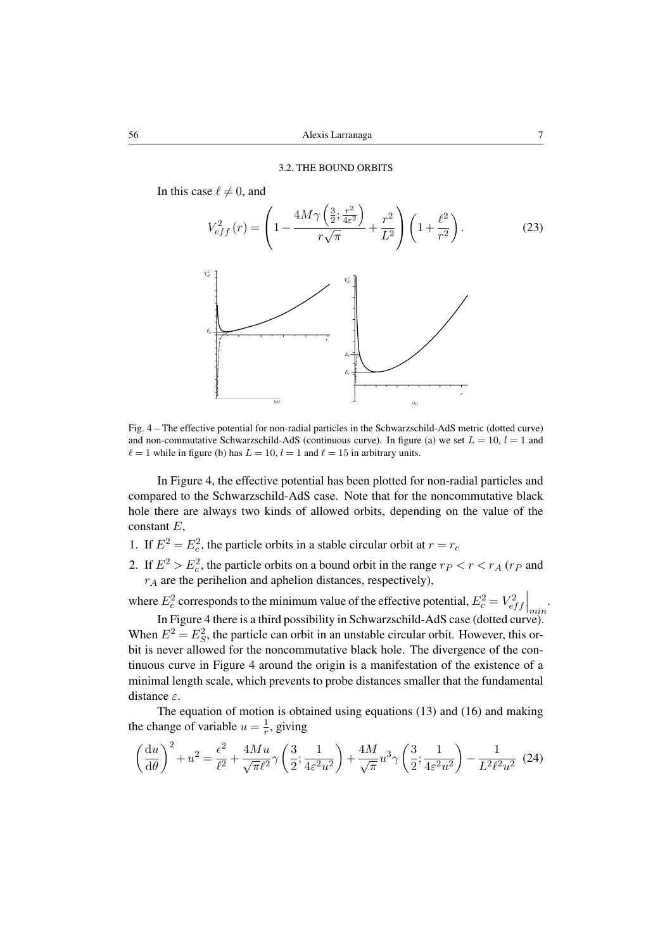In this case  $\ell \neq 0$ , and



Fig. 4 – The effective potential for non-radial particles in the Schwarzschild-AdS metric (dotted curve) and non-commutative Schwarzschild-AdS (continuous curve). In figure (a) we set  $L = 10$ ,  $l = 1$  and  $\ell = 1$  while in figure (b) has  $L = 10$ ,  $l = 1$  and  $\ell = 15$  in arbitrary units.

In Figure 4, the effective potential has been plotted for non-radial particles and compared to the Schwarzschild-AdS case. Note that for the noncommutative black hole there are always two kinds of allowed orbits, depending on the value of the constant E,

- 1. If  $E^2 = E_c^2$ , the particle orbits in a stable circular orbit at  $r = r_c$
- 2. If  $E^2 > E_c^2$ , the particle orbits on a bound orbit in the range  $r_P < r < r_A$  ( $r_P$  and  $r_A$  are the perihelion and aphelion distances, respectively),

where  $E_c^2$  corresponds to the minimum value of the effective potential,  $E_c^2 = V_{eff}^2\Big|_{min}$ .

In Figure 4 there is a third possibility in Schwarzschild-AdS case (dotted curve). When  $E^2 = E_S^2$ , the particle can orbit in an unstable circular orbit. However, this orbit is never allowed for the noncommutative black hole. The divergence of the continuous curve in Figure 4 around the origin is a manifestation of the existence of a minimal length scale, which prevents to probe distances smaller that the fundamental distance ε.

The equation of motion is obtained using equations (13) and (16) and making the change of variable  $u = \frac{1}{r}$  $\frac{1}{r}$ , giving

$$
\left(\frac{\mathrm{d}u}{\mathrm{d}\theta}\right)^2 + u^2 = \frac{\epsilon^2}{\ell^2} + \frac{4Mu}{\sqrt{\pi}\ell^2} \gamma \left(\frac{3}{2}; \frac{1}{4\varepsilon^2 u^2}\right) + \frac{4M}{\sqrt{\pi}} u^3 \gamma \left(\frac{3}{2}; \frac{1}{4\varepsilon^2 u^2}\right) - \frac{1}{L^2 \ell^2 u^2} (24)
$$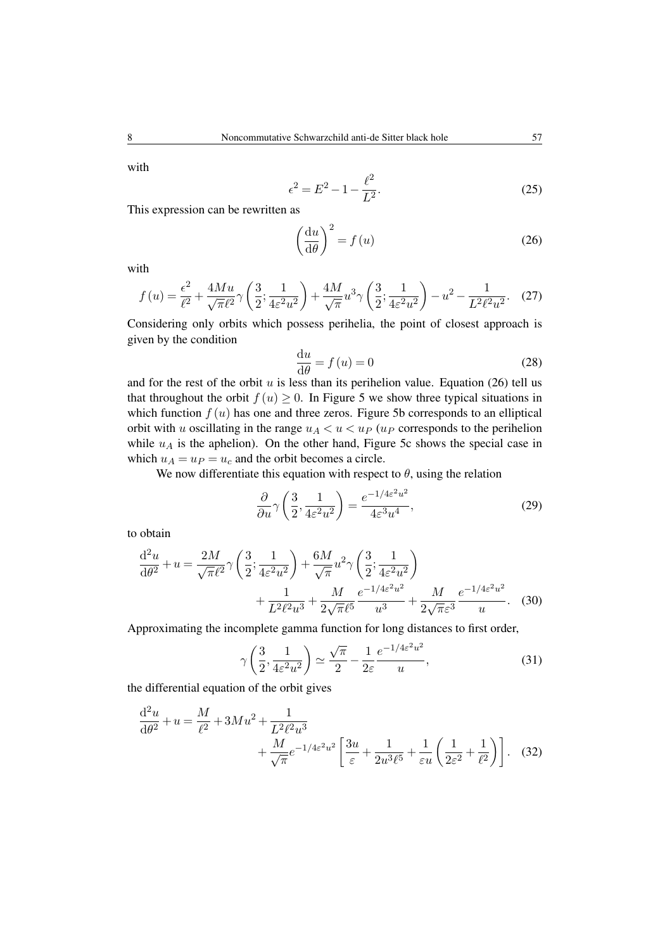with

$$
\epsilon^2 = E^2 - 1 - \frac{\ell^2}{L^2}.\tag{25}
$$

This expression can be rewritten as

$$
\left(\frac{\mathrm{d}u}{\mathrm{d}\theta}\right)^2 = f(u) \tag{26}
$$

with

$$
f(u) = \frac{\epsilon^2}{\ell^2} + \frac{4Mu}{\sqrt{\pi}\ell^2} \gamma \left(\frac{3}{2}; \frac{1}{4\varepsilon^2 u^2}\right) + \frac{4M}{\sqrt{\pi}} u^3 \gamma \left(\frac{3}{2}; \frac{1}{4\varepsilon^2 u^2}\right) - u^2 - \frac{1}{L^2 \ell^2 u^2}.
$$
 (27)

Considering only orbits which possess perihelia, the point of closest approach is given by the condition

$$
\frac{\mathrm{d}u}{\mathrm{d}\theta} = f(u) = 0\tag{28}
$$

and for the rest of the orbit  $u$  is less than its perihelion value. Equation (26) tell us that throughout the orbit  $f(u) \geq 0$ . In Figure 5 we show three typical situations in which function  $f(u)$  has one and three zeros. Figure 5b corresponds to an elliptical orbit with u oscillating in the range  $u_A < u < u_P$  (u<sub>P</sub> corresponds to the perihelion while  $u_A$  is the aphelion). On the other hand, Figure 5c shows the special case in which  $u_A = u_P = u_c$  and the orbit becomes a circle.

We now differentiate this equation with respect to  $\theta$ , using the relation

$$
\frac{\partial}{\partial u} \gamma \left( \frac{3}{2}, \frac{1}{4\varepsilon^2 u^2} \right) = \frac{e^{-1/4\varepsilon^2 u^2}}{4\varepsilon^3 u^4},\tag{29}
$$

to obtain

$$
\frac{d^2u}{d\theta^2} + u = \frac{2M}{\sqrt{\pi}\ell^2} \gamma \left(\frac{3}{2}; \frac{1}{4\varepsilon^2 u^2}\right) + \frac{6M}{\sqrt{\pi}} u^2 \gamma \left(\frac{3}{2}; \frac{1}{4\varepsilon^2 u^2}\right) \n+ \frac{1}{L^2 \ell^2 u^3} + \frac{M}{2\sqrt{\pi}\ell^5} \frac{e^{-1/4\varepsilon^2 u^2}}{u^3} + \frac{M}{2\sqrt{\pi}\varepsilon^3} \frac{e^{-1/4\varepsilon^2 u^2}}{u}.
$$
\n(30)

Approximating the incomplete gamma function for long distances to first order,

$$
\gamma\left(\frac{3}{2}, \frac{1}{4\varepsilon^2 u^2}\right) \simeq \frac{\sqrt{\pi}}{2} - \frac{1}{2\varepsilon} \frac{e^{-1/4\varepsilon^2 u^2}}{u},\tag{31}
$$

the differential equation of the orbit gives

$$
\frac{\mathrm{d}^2 u}{\mathrm{d}\theta^2} + u = \frac{M}{\ell^2} + 3Mu^2 + \frac{1}{L^2\ell^2 u^3} + \frac{M}{\sqrt{\pi}} e^{-1/4\varepsilon^2 u^2} \left[ \frac{3u}{\varepsilon} + \frac{1}{2u^3\ell^5} + \frac{1}{\varepsilon u} \left( \frac{1}{2\varepsilon^2} + \frac{1}{\ell^2} \right) \right].
$$
 (32)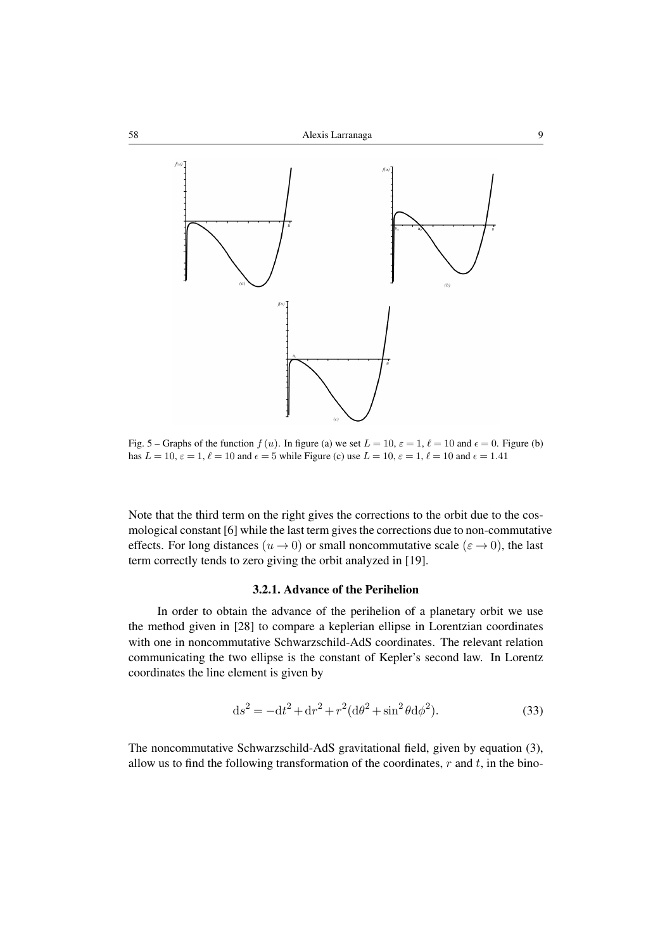

Fig. 5 – Graphs of the function  $f(u)$ . In figure (a) we set  $L = 10$ ,  $\varepsilon = 1$ ,  $\ell = 10$  and  $\epsilon = 0$ . Figure (b) has  $L = 10$ ,  $\varepsilon = 1$ ,  $\ell = 10$  and  $\epsilon = 5$  while Figure (c) use  $L = 10$ ,  $\varepsilon = 1$ ,  $\ell = 10$  and  $\epsilon = 1.41$ 

Note that the third term on the right gives the corrections to the orbit due to the cosmological constant [6] while the last term gives the corrections due to non-commutative effects. For long distances  $(u \rightarrow 0)$  or small noncommutative scale  $(\epsilon \rightarrow 0)$ , the last term correctly tends to zero giving the orbit analyzed in [19].

# 3.2.1. Advance of the Perihelion

In order to obtain the advance of the perihelion of a planetary orbit we use the method given in [28] to compare a keplerian ellipse in Lorentzian coordinates with one in noncommutative Schwarzschild-AdS coordinates. The relevant relation communicating the two ellipse is the constant of Kepler's second law. In Lorentz coordinates the line element is given by

$$
ds^{2} = -dt^{2} + dr^{2} + r^{2}(d\theta^{2} + \sin^{2}\theta d\phi^{2}).
$$
 (33)

The noncommutative Schwarzschild-AdS gravitational field, given by equation (3), allow us to find the following transformation of the coordinates,  $r$  and  $t$ , in the bino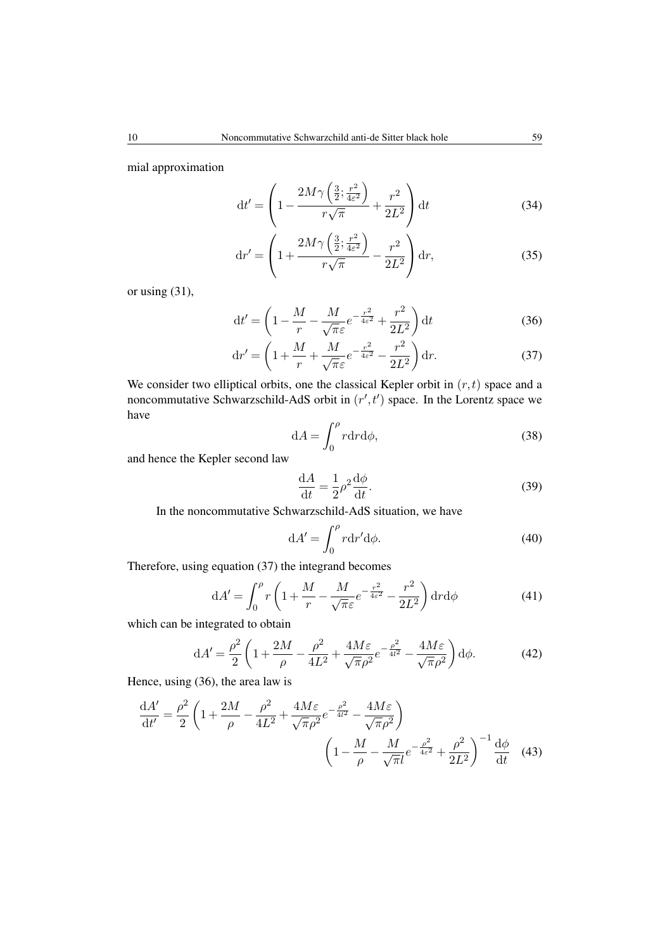mial approximation

$$
\mathrm{d}t' = \left(1 - \frac{2M\gamma\left(\frac{3}{2}; \frac{r^2}{4\varepsilon^2}\right)}{r\sqrt{\pi}} + \frac{r^2}{2L^2}\right) \mathrm{d}t\tag{34}
$$

$$
\mathrm{d}r' = \left(1 + \frac{2M\gamma\left(\frac{3}{2}; \frac{r^2}{4\varepsilon^2}\right)}{r\sqrt{\pi}} - \frac{r^2}{2L^2}\right)\mathrm{d}r,\tag{35}
$$

or using (31),

$$
dt' = \left(1 - \frac{M}{r} - \frac{M}{\sqrt{\pi}\varepsilon}e^{-\frac{r^2}{4\varepsilon^2}} + \frac{r^2}{2L^2}\right)dt\tag{36}
$$

$$
\mathrm{d}r' = \left(1 + \frac{M}{r} + \frac{M}{\sqrt{\pi}\varepsilon}e^{-\frac{r^2}{4\varepsilon^2}} - \frac{r^2}{2L^2}\right)\mathrm{d}r.\tag{37}
$$

We consider two elliptical orbits, one the classical Kepler orbit in  $(r, t)$  space and a noncommutative Schwarzschild-AdS orbit in  $(r', t')$  space. In the Lorentz space we have

$$
dA = \int_0^\rho r dr d\phi,\tag{38}
$$

and hence the Kepler second law

$$
\frac{\mathrm{d}A}{\mathrm{d}t} = \frac{1}{2}\rho^2 \frac{\mathrm{d}\phi}{\mathrm{d}t}.\tag{39}
$$

In the noncommutative Schwarzschild-AdS situation, we have

$$
dA' = \int_0^\rho r dr' d\phi.
$$
 (40)

Therefore, using equation (37) the integrand becomes

$$
dA' = \int_0^\rho r \left( 1 + \frac{M}{r} - \frac{M}{\sqrt{\pi \varepsilon}} e^{-\frac{r^2}{4\varepsilon^2}} - \frac{r^2}{2L^2} \right) dr d\phi \tag{41}
$$

which can be integrated to obtain

$$
dA' = \frac{\rho^2}{2} \left( 1 + \frac{2M}{\rho} - \frac{\rho^2}{4L^2} + \frac{4M\varepsilon}{\sqrt{\pi}\rho^2} e^{-\frac{\rho^2}{4l^2}} - \frac{4M\varepsilon}{\sqrt{\pi}\rho^2} \right) d\phi.
$$
 (42)

Hence, using (36), the area law is

$$
\frac{\mathrm{d}A'}{\mathrm{d}t'} = \frac{\rho^2}{2} \left( 1 + \frac{2M}{\rho} - \frac{\rho^2}{4L^2} + \frac{4M\varepsilon}{\sqrt{\pi}\rho^2} e^{-\frac{\rho^2}{4l^2}} - \frac{4M\varepsilon}{\sqrt{\pi}\rho^2} \right) \left( 1 - \frac{M}{\rho} - \frac{M}{\sqrt{\pi}l} e^{-\frac{\rho^2}{4\varepsilon^2}} + \frac{\rho^2}{2L^2} \right)^{-1} \frac{\mathrm{d}\phi}{\mathrm{d}t} \tag{43}
$$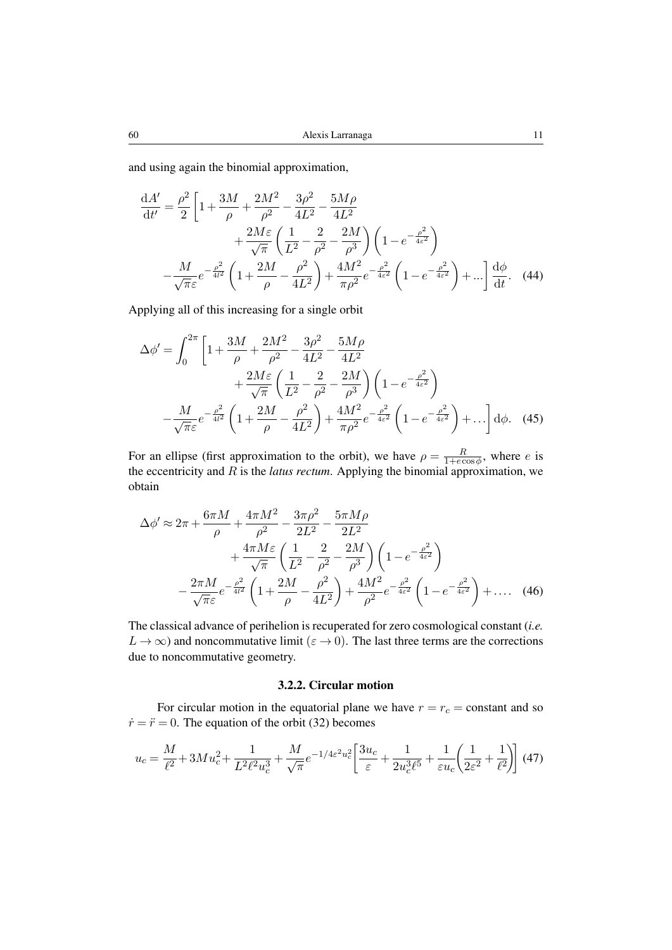and using again the binomial approximation,

$$
\frac{dA'}{dt'} = \frac{\rho^2}{2} \left[ 1 + \frac{3M}{\rho} + \frac{2M^2}{\rho^2} - \frac{3\rho^2}{4L^2} - \frac{5M\rho}{4L^2} + \frac{2M\varepsilon}{\sqrt{\pi}} \left( \frac{1}{L^2} - \frac{2}{\rho^2} - \frac{2M}{\rho^3} \right) \left( 1 - e^{-\frac{\rho^2}{4\varepsilon^2}} \right) - \frac{M}{\sqrt{\pi}\varepsilon} e^{-\frac{\rho^2}{4l^2}} \left( 1 + \frac{2M}{\rho} - \frac{\rho^2}{4L^2} \right) + \frac{4M^2}{\pi\rho^2} e^{-\frac{\rho^2}{4\varepsilon^2}} \left( 1 - e^{-\frac{\rho^2}{4\varepsilon^2}} \right) + \dots \right] \frac{d\phi}{dt}.
$$
 (44)

Applying all of this increasing for a single orbit

$$
\Delta \phi' = \int_0^{2\pi} \left[ 1 + \frac{3M}{\rho} + \frac{2M^2}{\rho^2} - \frac{3\rho^2}{4L^2} - \frac{5M\rho}{4L^2} + \frac{2M\varepsilon}{\sqrt{\pi}} \left( \frac{1}{L^2} - \frac{2}{\rho^2} - \frac{2M}{\rho^3} \right) \left( 1 - e^{-\frac{\rho^2}{4\varepsilon^2}} \right) - \frac{M}{\sqrt{\pi}\varepsilon} e^{-\frac{\rho^2}{4\varepsilon^2}} \left( 1 + \frac{2M}{\rho} - \frac{\rho^2}{4L^2} \right) + \frac{4M^2}{\pi\rho^2} e^{-\frac{\rho^2}{4\varepsilon^2}} \left( 1 - e^{-\frac{\rho^2}{4\varepsilon^2}} \right) + \dots \right] d\phi. \quad (45)
$$

For an ellipse (first approximation to the orbit), we have  $\rho = \frac{R}{1 + e^c}$  $\frac{R}{1+e\cos\phi}$ , where e is the eccentricity and R is the *latus rectum*. Applying the binomial approximation, we obtain

$$
\Delta \phi' \approx 2\pi + \frac{6\pi M}{\rho} + \frac{4\pi M^2}{\rho^2} - \frac{3\pi \rho^2}{2L^2} - \frac{5\pi M \rho}{2L^2} \n+ \frac{4\pi M \varepsilon}{\sqrt{\pi}} \left( \frac{1}{L^2} - \frac{2}{\rho^2} - \frac{2M}{\rho^3} \right) \left( 1 - e^{-\frac{\rho^2}{4\varepsilon^2}} \right) \n- \frac{2\pi M}{\sqrt{\pi}\varepsilon} e^{-\frac{\rho^2}{4l^2}} \left( 1 + \frac{2M}{\rho} - \frac{\rho^2}{4L^2} \right) + \frac{4M^2}{\rho^2} e^{-\frac{\rho^2}{4\varepsilon^2}} \left( 1 - e^{-\frac{\rho^2}{4\varepsilon^2}} \right) + \dots (46)
$$

The classical advance of perihelion is recuperated for zero cosmological constant (*i.e.*  $L \to \infty$ ) and noncommutative limit ( $\varepsilon \to 0$ ). The last three terms are the corrections due to noncommutative geometry.

# 3.2.2. Circular motion

For circular motion in the equatorial plane we have  $r = r_c = \text{constant}$  and so  $\dot{r} = \ddot{r} = 0$ . The equation of the orbit (32) becomes

$$
u_c = \frac{M}{\ell^2} + 3Mu_c^2 + \frac{1}{L^2\ell^2 u_c^3} + \frac{M}{\sqrt{\pi}}e^{-1/4\varepsilon^2 u_c^2} \left[ \frac{3u_c}{\varepsilon} + \frac{1}{2u_c^3\ell^5} + \frac{1}{\varepsilon u_c} \left( \frac{1}{2\varepsilon^2} + \frac{1}{\ell^2} \right) \right] (47)
$$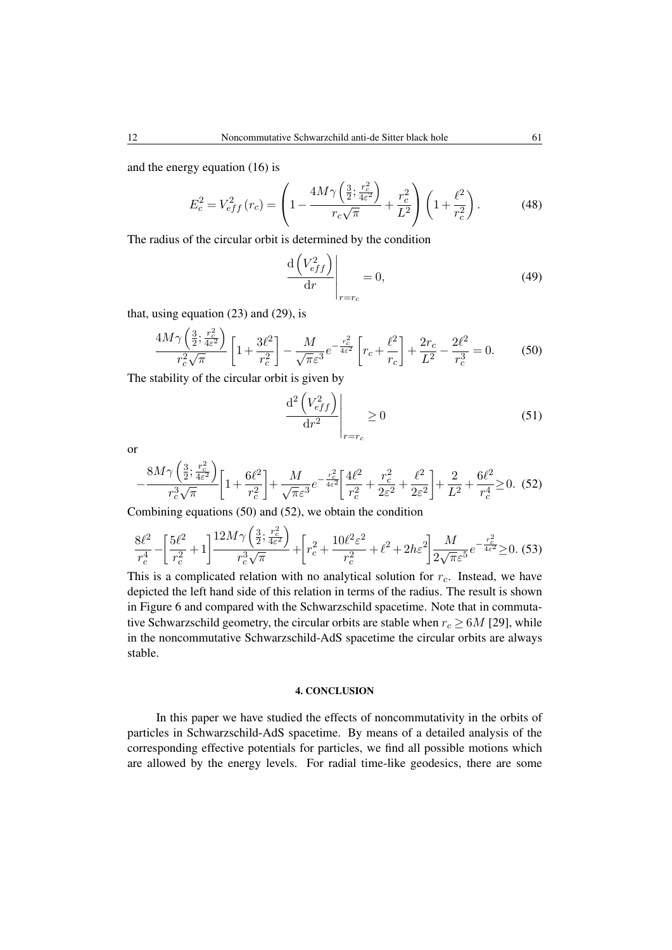and the energy equation (16) is

$$
E_c^2 = V_{eff}^2(r_c) = \left(1 - \frac{4M\gamma \left(\frac{3}{2}; \frac{r_c^2}{4\varepsilon^2}\right)}{r_c\sqrt{\pi}} + \frac{r_c^2}{L^2}\right) \left(1 + \frac{\ell^2}{r_c^2}\right). \tag{48}
$$

The radius of the circular orbit is determined by the condition

$$
\left. \frac{\mathrm{d}\left(V_{eff}^2\right)}{\mathrm{d}r} \right|_{r=r_c} = 0,\tag{49}
$$

that, using equation (23) and (29), is

$$
\frac{4M\gamma\left(\frac{3}{2};\frac{r_c^2}{4\varepsilon^2}\right)}{r_c^2\sqrt{\pi}}\left[1+\frac{3\ell^2}{r_c^2}\right] - \frac{M}{\sqrt{\pi}\varepsilon^3}e^{-\frac{r_c^2}{4\varepsilon^2}}\left[r_c + \frac{\ell^2}{r_c}\right] + \frac{2r_c}{L^2} - \frac{2\ell^2}{r_c^3} = 0.\tag{50}
$$

The stability of the circular orbit is given by

$$
\left. \frac{\mathrm{d}^2 \left( V_{eff}^2 \right)}{\mathrm{d}r^2} \right|_{r=r_c} \ge 0 \tag{51}
$$

or

$$
-\frac{8M\gamma\left(\frac{3}{2};\frac{r_c^2}{4\varepsilon^2}\right)}{r_c^3\sqrt{\pi}}\bigg[1+\frac{6\ell^2}{r_c^2}\bigg]+\frac{M}{\sqrt{\pi}\varepsilon^3}e^{-\frac{r_c^2}{4\varepsilon^2}}\bigg[\frac{4\ell^2}{r_c^2}+\frac{r_c^2}{2\varepsilon^2}+\frac{\ell^2}{2\varepsilon^2}\bigg]+\frac{2}{L^2}+\frac{6\ell^2}{r_c^4}\geq 0.\tag{52}
$$

Combining equations (50) and (52), we obtain the condition

$$
\frac{8\ell^2}{r_c^4} - \left[\frac{5\ell^2}{r_c^2} + 1\right] \frac{12M\gamma \left(\frac{3}{2}; \frac{r_c^2}{4\varepsilon^2}\right)}{r_c^3 \sqrt{\pi}} + \left[r_c^2 + \frac{10\ell^2 \varepsilon^2}{r_c^2} + \ell^2 + 2hc^2\right] \frac{M}{2\sqrt{\pi}\varepsilon^5} e^{-\frac{r_c^2}{4\varepsilon^2}} \ge 0. \tag{53}
$$

This is a complicated relation with no analytical solution for  $r_c$ . Instead, we have depicted the left hand side of this relation in terms of the radius. The result is shown in Figure 6 and compared with the Schwarzschild spacetime. Note that in commutative Schwarzschild geometry, the circular orbits are stable when  $r_c \geq 6M$  [29], while in the noncommutative Schwarzschild-AdS spacetime the circular orbits are always stable.

# 4. CONCLUSION

In this paper we have studied the effects of noncommutativity in the orbits of particles in Schwarzschild-AdS spacetime. By means of a detailed analysis of the corresponding effective potentials for particles, we find all possible motions which are allowed by the energy levels. For radial time-like geodesics, there are some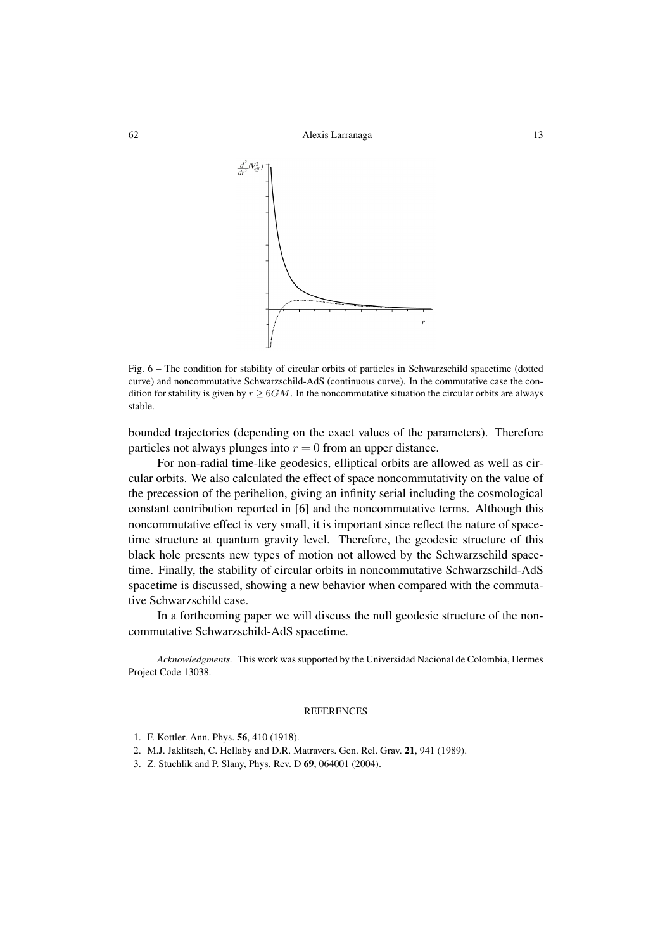

Fig. 6 – The condition for stability of circular orbits of particles in Schwarzschild spacetime (dotted curve) and noncommutative Schwarzschild-AdS (continuous curve). In the commutative case the condition for stability is given by  $r > 6GM$ . In the noncommutative situation the circular orbits are always stable.

bounded trajectories (depending on the exact values of the parameters). Therefore particles not always plunges into  $r = 0$  from an upper distance.

For non-radial time-like geodesics, elliptical orbits are allowed as well as circular orbits. We also calculated the effect of space noncommutativity on the value of the precession of the perihelion, giving an infinity serial including the cosmological constant contribution reported in [6] and the noncommutative terms. Although this noncommutative effect is very small, it is important since reflect the nature of spacetime structure at quantum gravity level. Therefore, the geodesic structure of this black hole presents new types of motion not allowed by the Schwarzschild spacetime. Finally, the stability of circular orbits in noncommutative Schwarzschild-AdS spacetime is discussed, showing a new behavior when compared with the commutative Schwarzschild case.

In a forthcoming paper we will discuss the null geodesic structure of the noncommutative Schwarzschild-AdS spacetime.

*Acknowledgments.* This work was supported by the Universidad Nacional de Colombia, Hermes Project Code 13038.

#### **REFERENCES**

- 1. F. Kottler. Ann. Phys. 56, 410 (1918).
- 2. M.J. Jaklitsch, C. Hellaby and D.R. Matravers. Gen. Rel. Grav. 21, 941 (1989).
- 3. Z. Stuchlik and P. Slany, Phys. Rev. D 69, 064001 (2004).